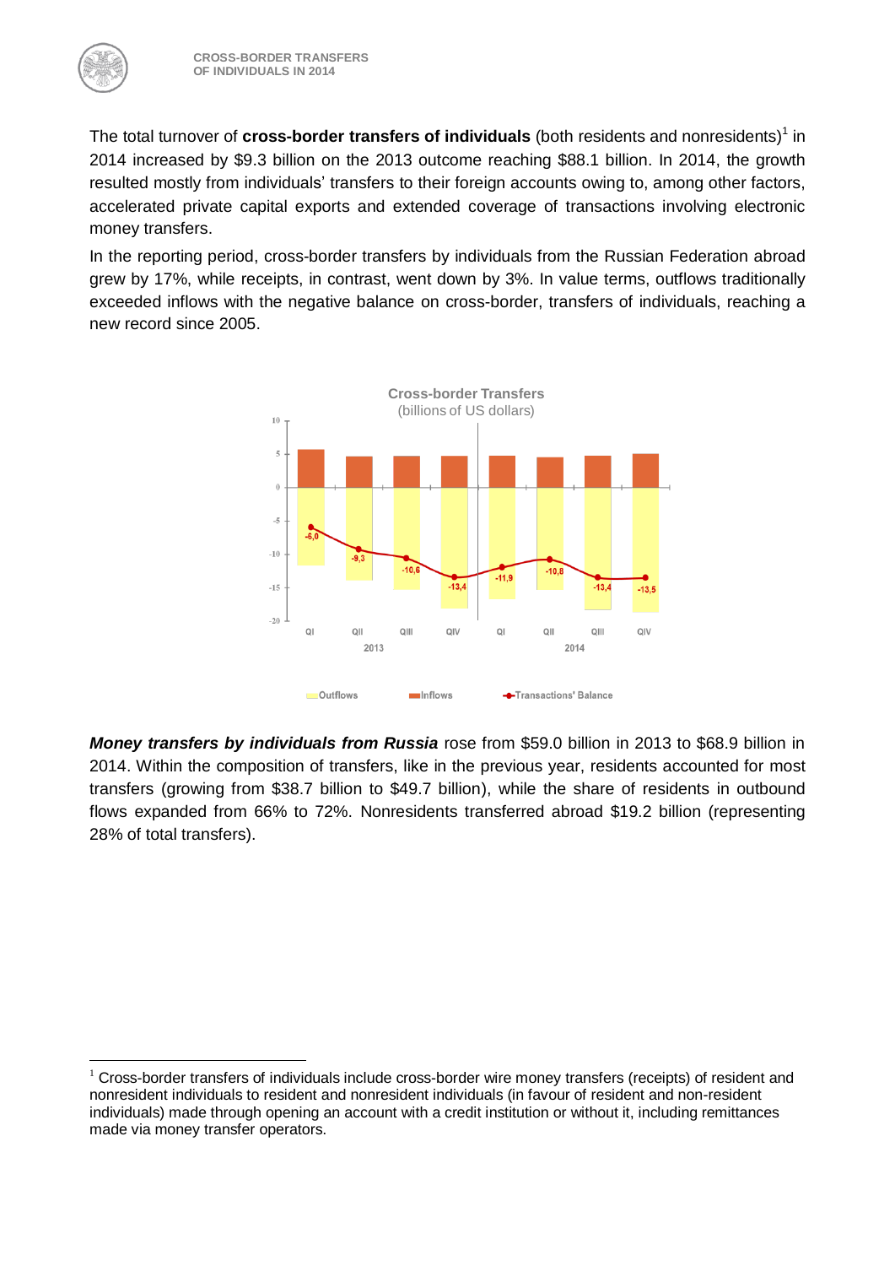1

The total turnover of **cross-border transfers of individuals** (both residents and nonresidents)<sup>1</sup> in 2014 increased by \$9.3 billion on the 2013 outcome reaching \$88.1 billion. In 2014, the growth resulted mostly from individuals' transfers to their foreign accounts owing to, among other factors, accelerated private capital exports and extended coverage of transactions involving electronic money transfers.

In the reporting period, cross-border transfers by individuals from the Russian Federation abroad grew by 17%, while receipts, in contrast, went down by 3%. In value terms, outflows traditionally exceeded inflows with the negative balance on cross-border, transfers of individuals, reaching a new record since 2005.



*Money transfers by individuals from Russia* rose from \$59.0 billion in 2013 to \$68.9 billion in 2014. Within the composition of transfers, like in the previous year, residents accounted for most transfers (growing from \$38.7 billion to \$49.7 billion), while the share of residents in outbound flows expanded from 66% to 72%. Nonresidents transferred abroad \$19.2 billion (representing 28% of total transfers).

<sup>&</sup>lt;sup>1</sup> Cross-border transfers of individuals include cross-border wire money transfers (receipts) of resident and nonresident individuals to resident and nonresident individuals (in favour of resident and non-resident individuals) made through opening an account with a credit institution or without it, including remittances made via money transfer operators.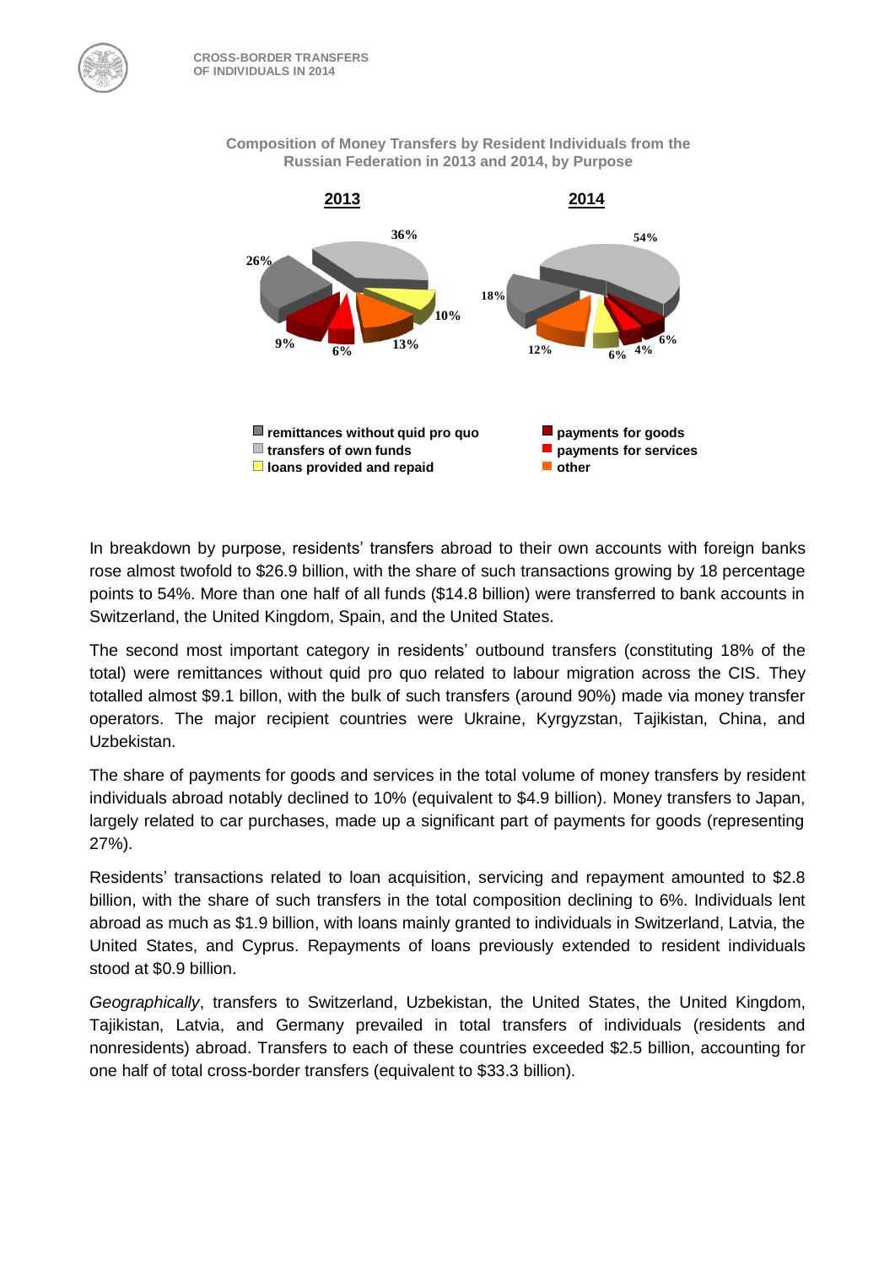

**Composition of Money Transfers by Resident Individuals from the Russian Federation in 2013 and 2014, by Purpose** 

In breakdown by purpose, residents' transfers abroad to their own accounts with foreign banks rose almost twofold to \$26.9 billion, with the share of such transactions growing by 18 percentage points to 54%. More than one half of all funds (\$14.8 billion) were transferred to bank accounts in Switzerland, the United Kingdom, Spain, and the United States.

The second most important category in residents' outbound transfers (constituting 18% of the total) were remittances without quid pro quo related to labour migration across the CIS. They totalled almost \$9.1 billon, with the bulk of such transfers (around 90%) made via money transfer operators. The major recipient countries were Ukraine, Kyrgyzstan, Tajikistan, China, and Uzbekistan.

The share of payments for goods and services in the total volume of money transfers by resident individuals abroad notably declined to 10% (equivalent to \$4.9 billion). Money transfers to Japan, largely related to car purchases, made up a significant part of payments for goods (representing 27%).

Residents' transactions related to loan acquisition, servicing and repayment amounted to \$2.8 billion, with the share of such transfers in the total composition declining to 6%. Individuals lent abroad as much as \$1.9 billion, with loans mainly granted to individuals in Switzerland, Latvia, the United States, and Cyprus. Repayments of loans previously extended to resident individuals stood at \$0.9 billion.

*Geographically*, transfers to Switzerland, Uzbekistan, the United States, the United Kingdom, Tajikistan, Latvia, and Germany prevailed in total transfers of individuals (residents and nonresidents) abroad. Transfers to each of these countries exceeded \$2.5 billion, accounting for one half of total cross-border transfers (equivalent to \$33.3 billion).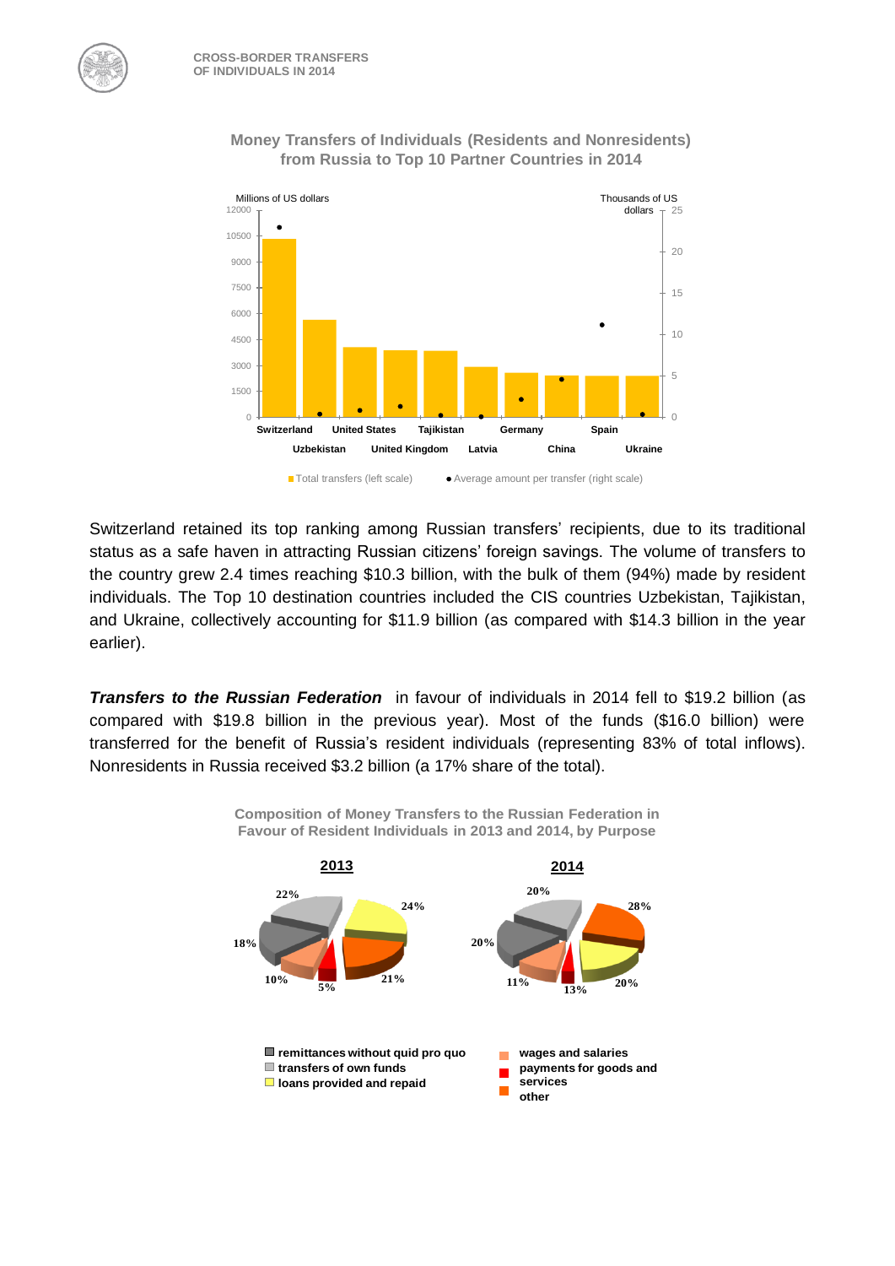

## **Money Transfers of Individuals (Residents and Nonresidents) from Russia to Top 10 Partner Countries in 2014**

Switzerland retained its top ranking among Russian transfers' recipients, due to its traditional status as a safe haven in attracting Russian citizens' foreign savings. The volume of transfers to the country grew 2.4 times reaching \$10.3 billion, with the bulk of them (94%) made by resident individuals. The Top 10 destination countries included the CIS countries Uzbekistan, Tajikistan, and Ukraine, collectively accounting for \$11.9 billion (as compared with \$14.3 billion in the year earlier).

*Transfers to the Russian Federation* in favour of individuals in 2014 fell to \$19.2 billion (as compared with \$19.8 billion in the previous year). Most of the funds (\$16.0 billion) were transferred for the benefit of Russia's resident individuals (representing 83% of total inflows). Nonresidents in Russia received \$3.2 billion (a 17% share of the total).

**Composition of Money Transfers to the Russian Federation in** 

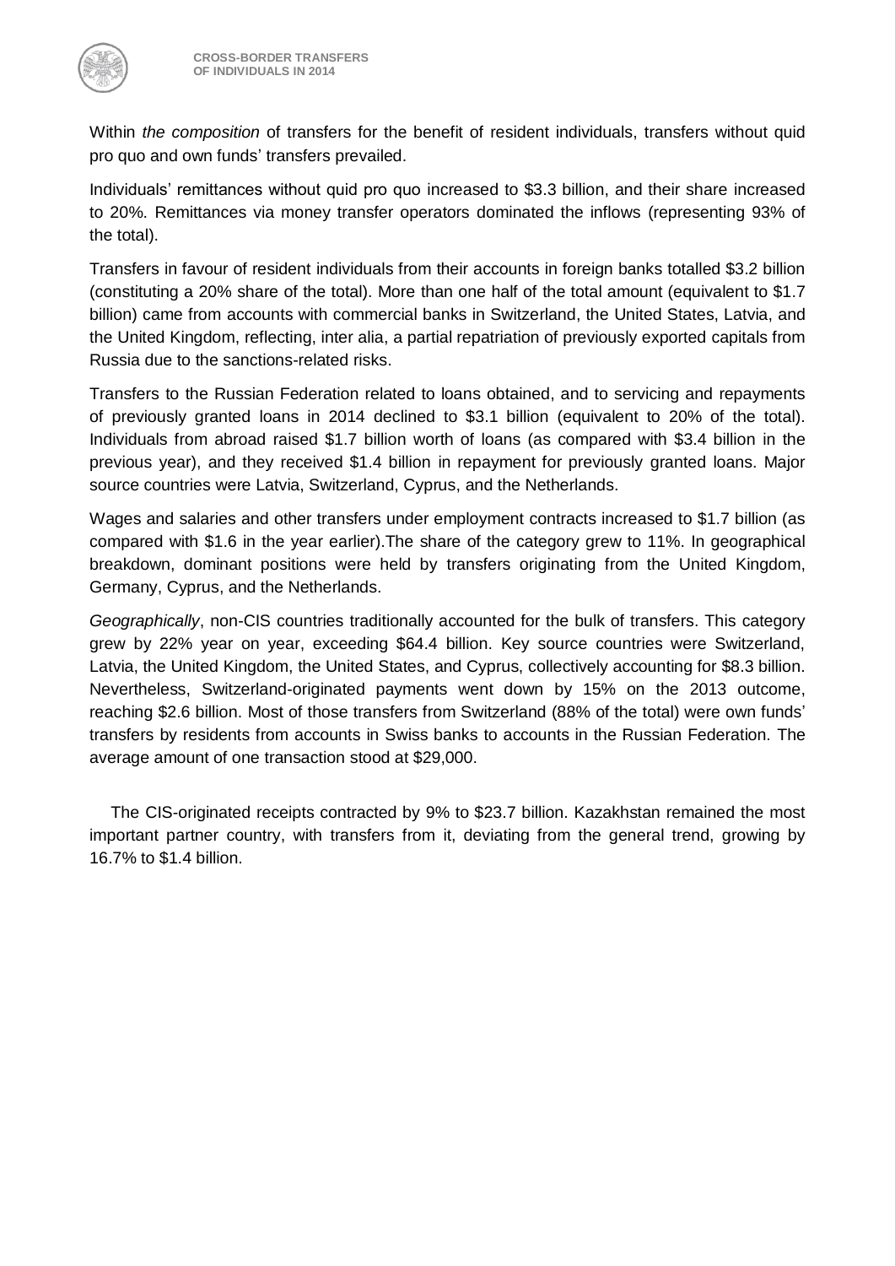

Within *the composition* of transfers for the benefit of resident individuals, transfers without quid pro quo and own funds' transfers prevailed.

Individuals' remittances without quid pro quo increased to \$3.3 billion, and their share increased to 20%. Remittances via money transfer operators dominated the inflows (representing 93% of the total).

Transfers in favour of resident individuals from their accounts in foreign banks totalled \$3.2 billion (constituting a 20% share of the total). More than one half of the total amount (equivalent to \$1.7 billion) came from accounts with commercial banks in Switzerland, the United States, Latvia, and the United Kingdom, reflecting, inter alia, a partial repatriation of previously exported capitals from Russia due to the sanctions-related risks.

Transfers to the Russian Federation related to loans obtained, and to servicing and repayments of previously granted loans in 2014 declined to \$3.1 billion (equivalent to 20% of the total). Individuals from abroad raised \$1.7 billion worth of loans (as compared with \$3.4 billion in the previous year), and they received \$1.4 billion in repayment for previously granted loans. Major source countries were Latvia, Switzerland, Cyprus, and the Netherlands.

Wages and salaries and other transfers under employment contracts increased to \$1.7 billion (as compared with \$1.6 in the year earlier).The share of the category grew to 11%. In geographical breakdown, dominant positions were held by transfers originating from the United Kingdom, Germany, Cyprus, and the Netherlands.

*Geographically*, non-CIS countries traditionally accounted for the bulk of transfers. This category grew by 22% year on year, exceeding \$64.4 billion. Key source countries were Switzerland, Latvia, the United Kingdom, the United States, and Cyprus, collectively accounting for \$8.3 billion. Nevertheless, Switzerland-originated payments went down by 15% on the 2013 outcome, reaching \$2.6 billion. Most of those transfers from Switzerland (88% of the total) were own funds' transfers by residents from accounts in Swiss banks to accounts in the Russian Federation. The average amount of one transaction stood at \$29,000.

The CIS-originated receipts contracted by 9% to \$23.7 billion. Kazakhstan remained the most important partner country, with transfers from it, deviating from the general trend, growing by 16.7% to \$1.4 billion.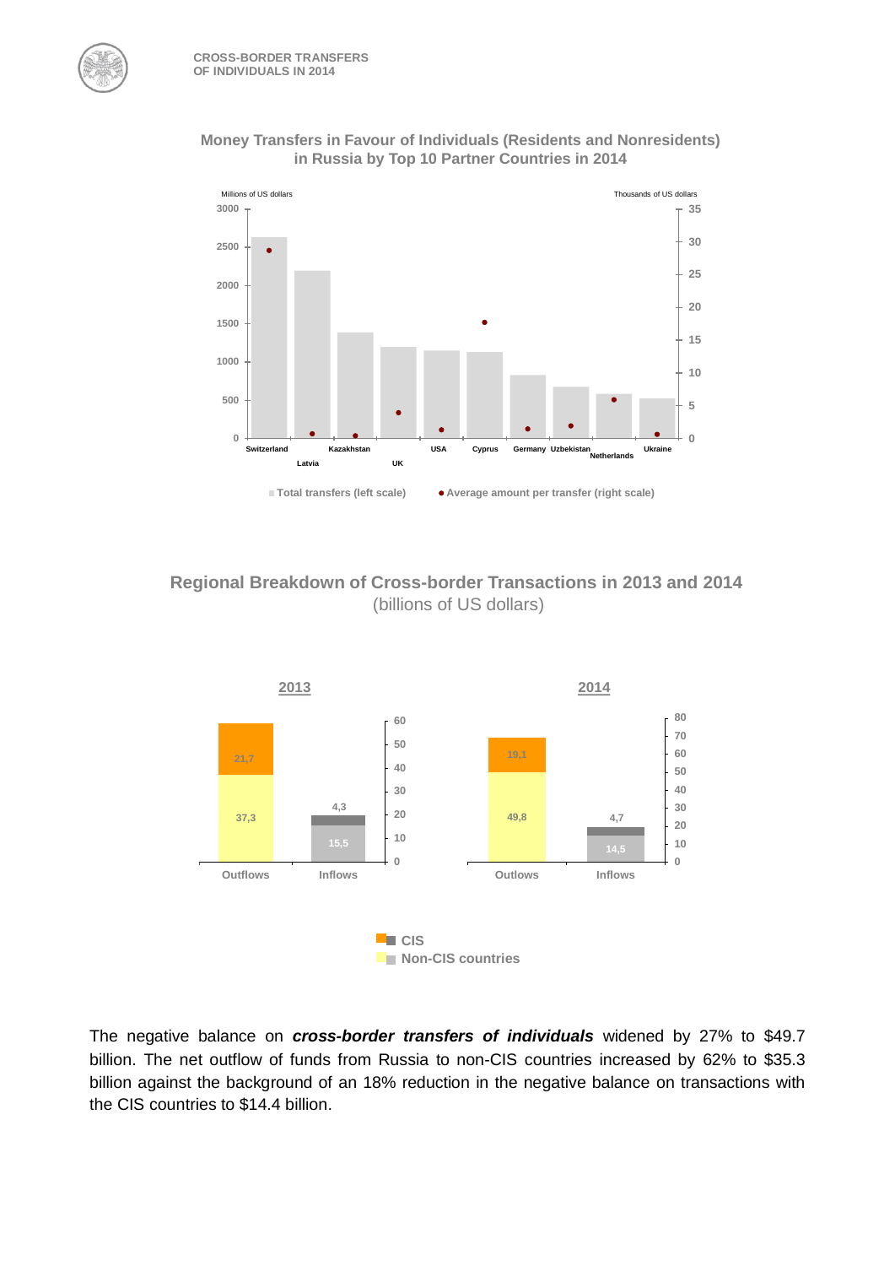



**Regional Breakdown of Cross-border Transactions in 2013 and 2014** (billions of US dollars)



The negative balance on *cross-border transfers of individuals* widened by 27% to \$49.7 billion. The net outflow of funds from Russia to non-CIS countries increased by 62% to \$35.3 billion against the background of an 18% reduction in the negative balance on transactions with the CIS countries to \$14.4 billion.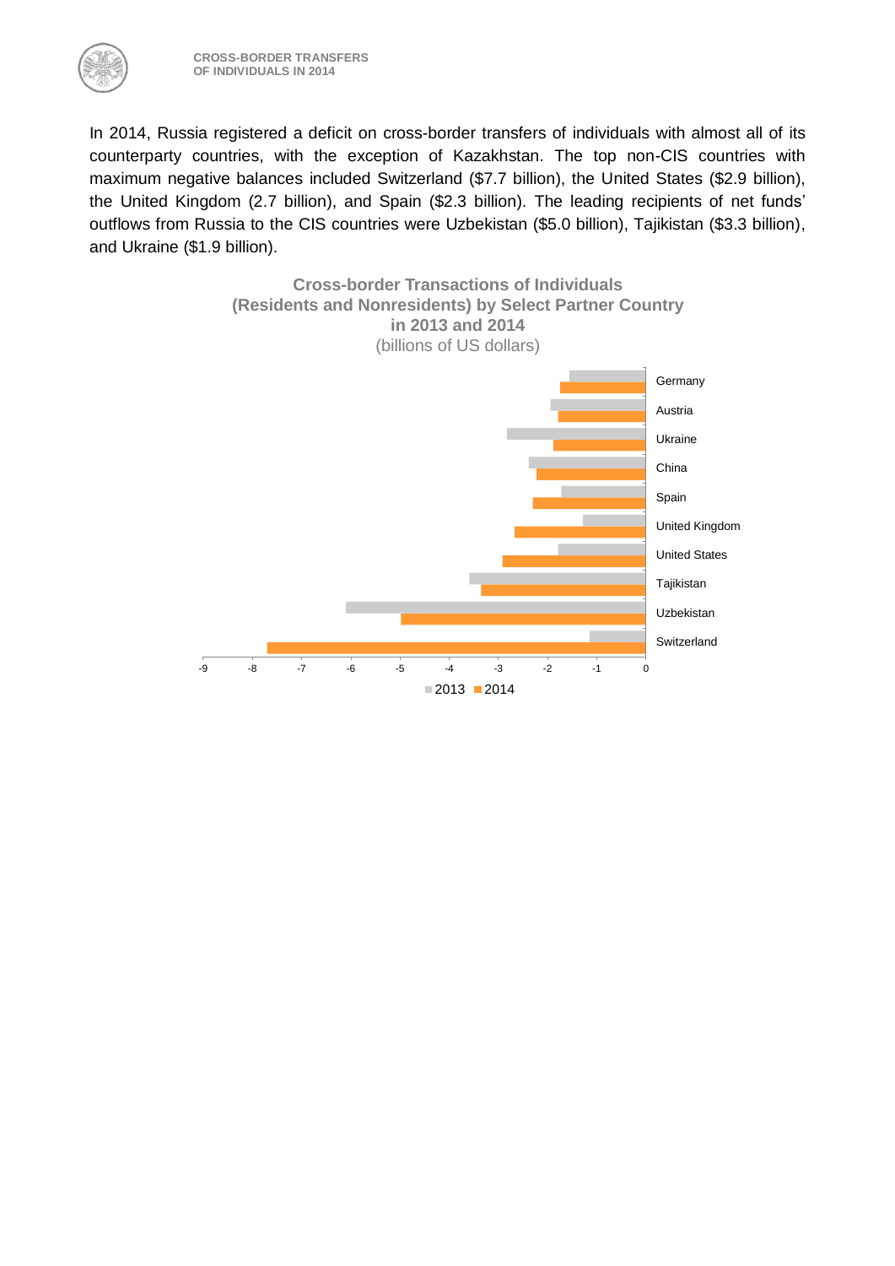

In 2014, Russia registered a deficit on cross-border transfers of individuals with almost all of its counterparty countries, with the exception of Kazakhstan. The top non-CIS countries with maximum negative balances included Switzerland (\$7.7 billion), the United States (\$2.9 billion), the United Kingdom (2.7 billion), and Spain (\$2.3 billion). The leading recipients of net funds' outflows from Russia to the CIS countries were Uzbekistan (\$5.0 billion), Tajikistan (\$3.3 billion), and Ukraine (\$1.9 billion).

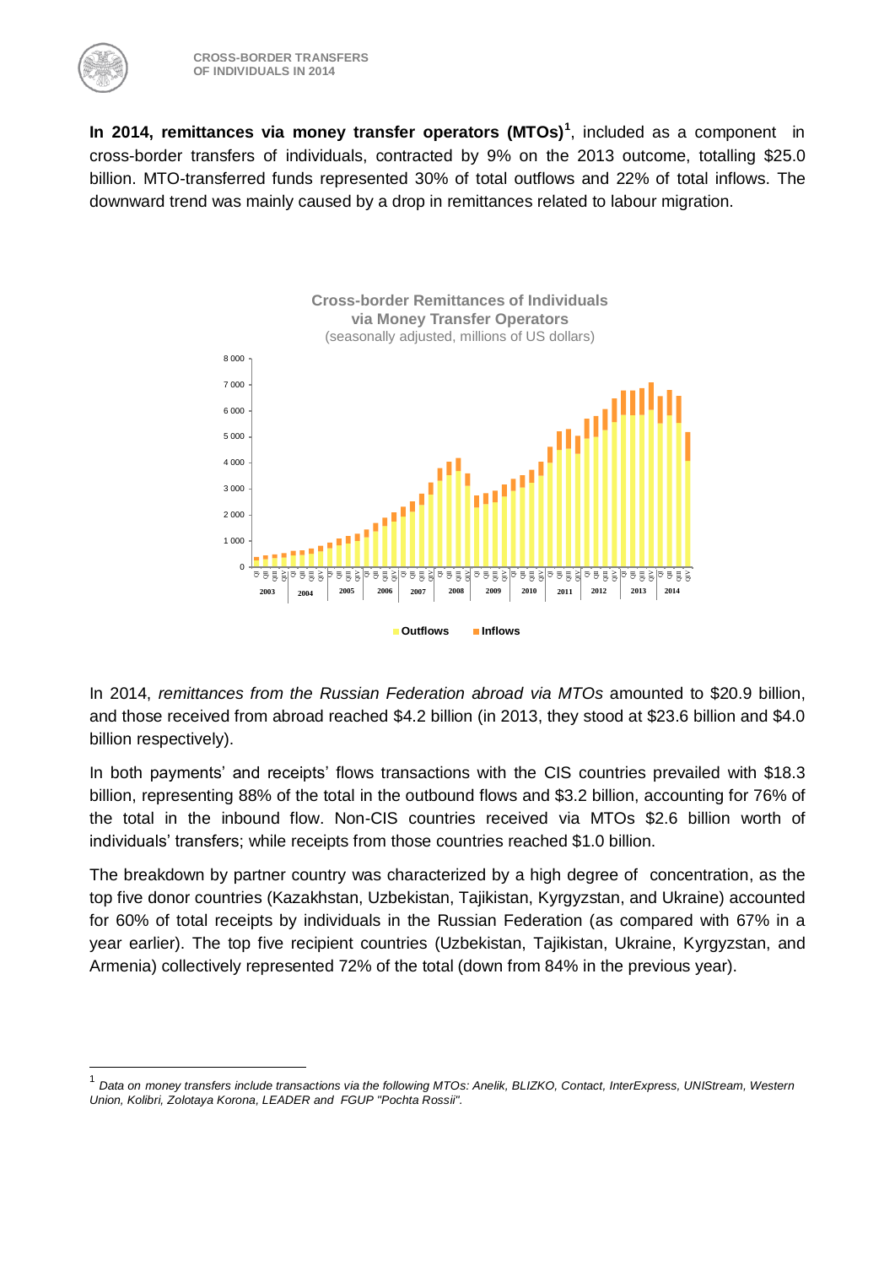<u>.</u>

**In 2014, remittances via money transfer operators (MTOs)<sup>1</sup>** , included as a component in cross-border transfers of individuals, contracted by 9% on the 2013 outcome, totalling \$25.0 billion. MTO-transferred funds represented 30% of total outflows and 22% of total inflows. The downward trend was mainly caused by a drop in remittances related to labour migration.



In 2014, *remittances from the Russian Federation abroad via MTOs* amounted to \$20.9 billion, and those received from abroad reached \$4.2 billion (in 2013, they stood at \$23.6 billion and \$4.0 billion respectively).

In both payments' and receipts' flows transactions with the CIS countries prevailed with \$18.3 billion, representing 88% of the total in the outbound flows and \$3.2 billion, accounting for 76% of the total in the inbound flow. Non-CIS countries received via MTOs \$2.6 billion worth of individuals' transfers; while receipts from those countries reached \$1.0 billion.

The breakdown by partner country was characterized by a high degree of concentration, as the top five donor countries (Kazakhstan, Uzbekistan, Tajikistan, Kyrgyzstan, and Ukraine) accounted for 60% of total receipts by individuals in the Russian Federation (as compared with 67% in a year earlier). The top five recipient countries (Uzbekistan, Tajikistan, Ukraine, Kyrgyzstan, and Armenia) collectively represented 72% of the total (down from 84% in the previous year).

<sup>1</sup> *Data on money transfers include transactions via the following MTOs: Anelik, BLIZKO, Contact, InterExpress, UNIStream, Western Union, Kolibri, Zolotaya Korona, LEADER and FGUP "Pochta Rossii".*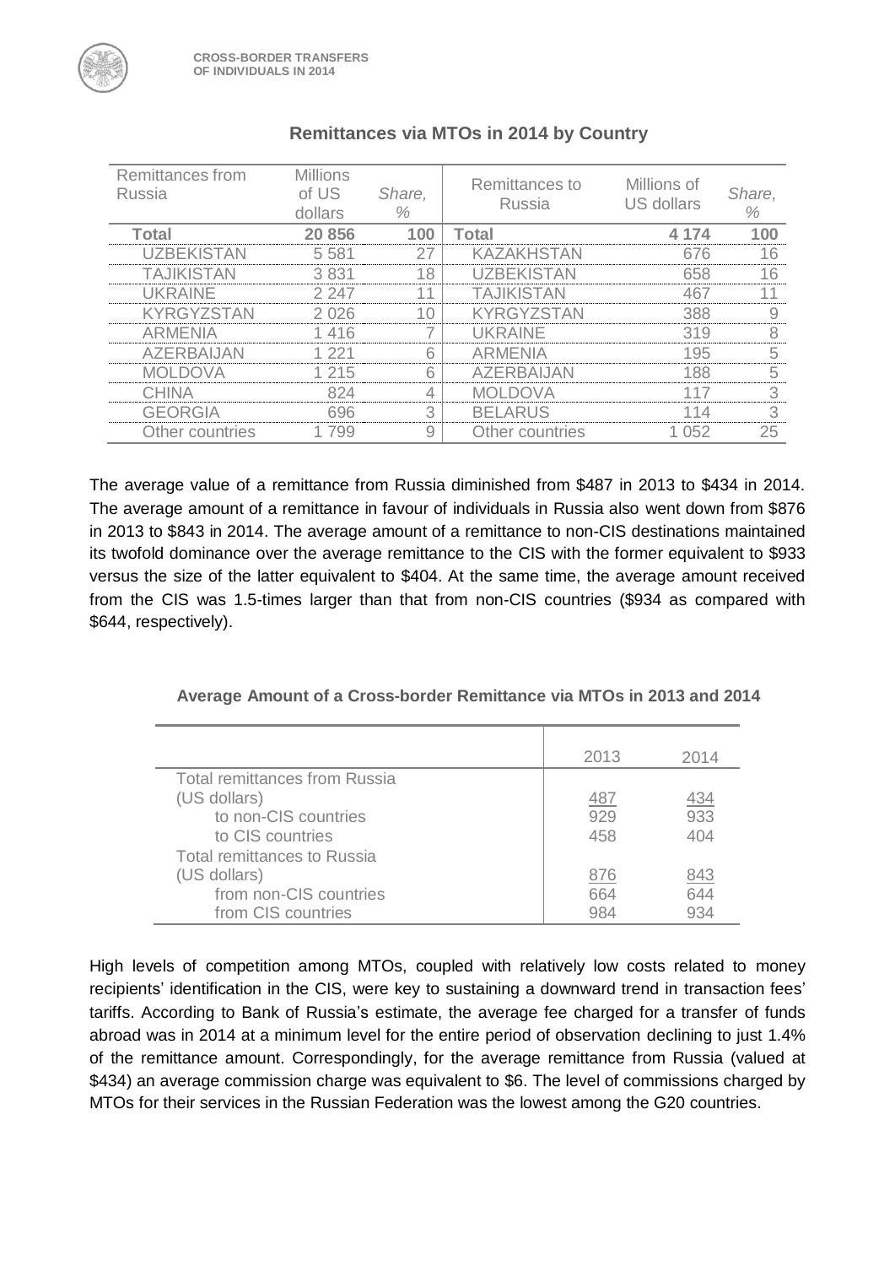| Remittances from<br>Russia | <b>Millions</b><br>of US<br>dollars | Share,<br>% | Remittances to<br>Russia | Millions of<br>US dollars | Share,<br>% |
|----------------------------|-------------------------------------|-------------|--------------------------|---------------------------|-------------|
| <b>Total</b>               | 20 856                              | 100         | Total                    | 4 174                     | 100         |
| <b>UZBEKISTAN</b>          | 5 5 8 1                             | 27          | <b>KAZAKHSTAN</b>        | 676                       | 16          |
| <b>TAJIKISTAN</b>          | 3831                                | 18          | <b>UZBEKISTAN</b>        | 658                       | 16          |
| <b>UKRAINE</b>             | 2 247                               | 11          | <b>TAJIKISTAN</b>        | 467                       | 11          |
| <b>KYRGYZSTAN</b>          | 2026                                | 10          | <b>KYRGYZSTAN</b>        | 388                       | 9           |
| <b>ARMENIA</b>             | 1416                                |             | <b>UKRAINE</b>           | 319                       | 8           |
| <b>AZERBAIJAN</b>          | 1 221                               | 6           | <b>ARMENIA</b>           | 195                       | 5           |
| <b>MOLDOVA</b>             | 1 215                               | 6           | <b>AZERBAIJAN</b>        | 188                       | 5           |
| <b>CHINA</b>               | 824                                 | 4           | <b>MOLDOVA</b>           | 117                       | 3           |
| <b>GEORGIA</b>             | 696                                 | 3           | <b>BELARUS</b>           | 114                       | 3           |
| Other countries            | 1 799                               | 9           | Other countries          | 1 052                     | 25          |

## **Remittances via MTOs in 2014 by Country**

The average value of a remittance from Russia diminished from \$487 in 2013 to \$434 in 2014. The average amount of a remittance in favour of individuals in Russia also went down from \$876 in 2013 to \$843 in 2014. The average amount of a remittance to non-CIS destinations maintained its twofold dominance over the average remittance to the CIS with the former equivalent to \$933 versus the size of the latter equivalent to \$404. At the same time, the average amount received from the CIS was 1.5-times larger than that from non-CIS countries (\$934 as compared with \$644, respectively).

|                                      | 2013 | 2014       |
|--------------------------------------|------|------------|
| <b>Total remittances from Russia</b> |      |            |
| (US dollars)                         | 487  | <u>434</u> |
| to non-CIS countries                 | 929  | 933        |
| to CIS countries                     | 458  | 404        |
| Total remittances to Russia          |      |            |
| (US dollars)                         | 876  | <u>843</u> |
| from non-CIS countries               | 664  | 644        |
| from CIS countries                   | 984  | 934        |

High levels of competition among MTOs, coupled with relatively low costs related to money recipients' identification in the CIS, were key to sustaining a downward trend in transaction fees' tariffs. According to Bank of Russia's estimate, the average fee charged for a transfer of funds abroad was in 2014 at a minimum level for the entire period of observation declining to just 1.4% of the remittance amount. Correspondingly, for the average remittance from Russia (valued at \$434) an average commission charge was equivalent to \$6. The level of commissions charged by MTOs for their services in the Russian Federation was the lowest among the G20 countries.